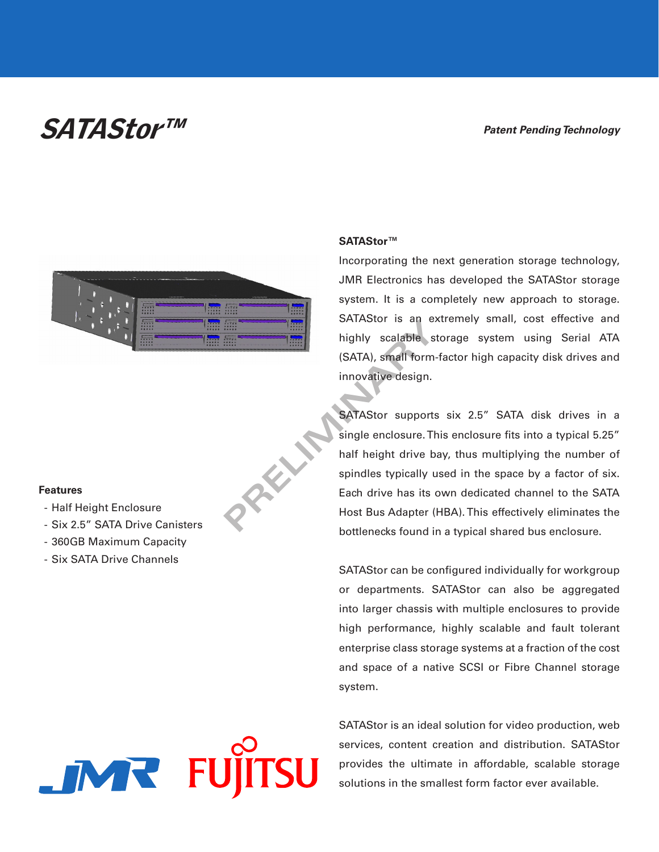## SATAStor™

## **Patent Pending Technology**



**PRELIMINARY** 

## **Features**

- Half Height Enclosure
- Six 2.5" SATA Drive Canisters
- 360GB Maximum Capacity
- Six SATA Drive Channels

## **IMR** FUJI

### **SATAStor™**

Incorporating the next generation storage technology, JMR Electronics has developed the SATAStor storage system. It is a completely new approach to storage. SATAStor is an extremely small, cost effective and highly scalable storage system using Serial ATA (SATA), small form-factor high capacity disk drives and innovative design.

SATAStor supports six 2.5" SATA disk drives in a single enclosure. This enclosure fits into a typical 5.25" half height drive bay, thus multiplying the number of spindles typically used in the space by a factor of six. Each drive has its own dedicated channel to the SATA Host Bus Adapter (HBA). This effectively eliminates the bottlenecks found in a typical shared bus enclosure.

SATAStor can be configured individually for workgroup or departments. SATAStor can also be aggregated into larger chassis with multiple enclosures to provide high performance, highly scalable and fault tolerant enterprise class storage systems at a fraction of the cost and space of a native SCSI or Fibre Channel storage system.

SATAStor is an ideal solution for video production, web services, content creation and distribution. SATAStor provides the ultimate in affordable, scalable storage solutions in the smallest form factor ever available.